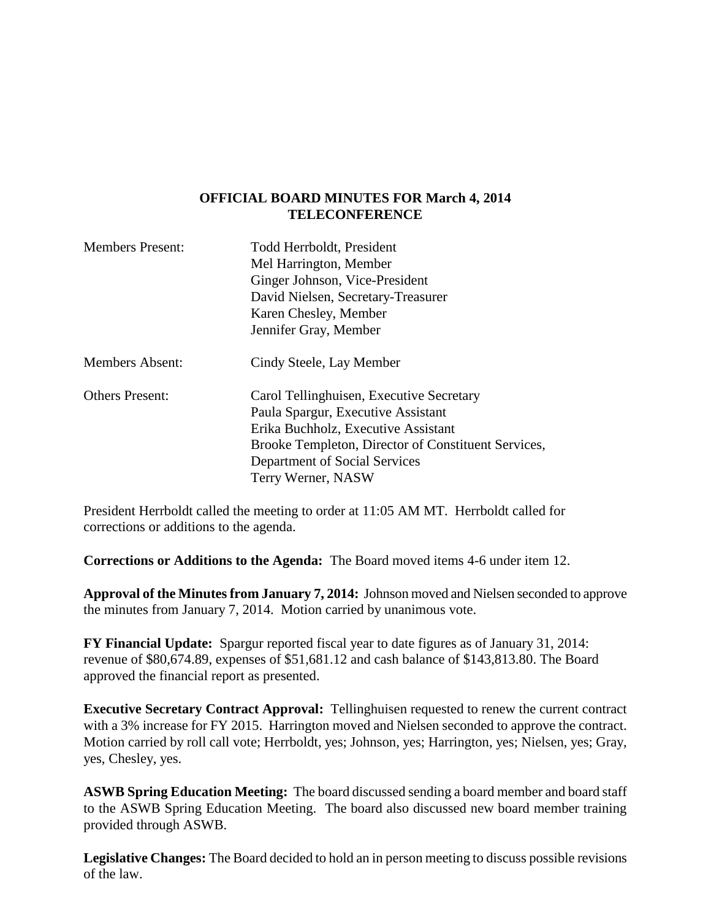## **OFFICIAL BOARD MINUTES FOR March 4, 2014 TELECONFERENCE**

| <b>Members Present:</b> | Todd Herrboldt, President<br>Mel Harrington, Member |
|-------------------------|-----------------------------------------------------|
|                         | Ginger Johnson, Vice-President                      |
|                         | David Nielsen, Secretary-Treasurer                  |
|                         | Karen Chesley, Member                               |
|                         | Jennifer Gray, Member                               |
| <b>Members Absent:</b>  | Cindy Steele, Lay Member                            |
| <b>Others Present:</b>  | Carol Tellinghuisen, Executive Secretary            |
|                         | Paula Spargur, Executive Assistant                  |
|                         | Erika Buchholz, Executive Assistant                 |
|                         | Brooke Templeton, Director of Constituent Services, |
|                         | Department of Social Services                       |
|                         | Terry Werner, NASW                                  |

President Herrboldt called the meeting to order at 11:05 AM MT. Herrboldt called for corrections or additions to the agenda.

**Corrections or Additions to the Agenda:** The Board moved items 4-6 under item 12.

**Approval of the Minutes from January 7, 2014:** Johnson moved and Nielsen seconded to approve the minutes from January 7, 2014. Motion carried by unanimous vote.

**FY Financial Update:** Spargur reported fiscal year to date figures as of January 31, 2014: revenue of \$80,674.89, expenses of \$51,681.12 and cash balance of \$143,813.80. The Board approved the financial report as presented.

**Executive Secretary Contract Approval:** Tellinghuisen requested to renew the current contract with a 3% increase for FY 2015. Harrington moved and Nielsen seconded to approve the contract. Motion carried by roll call vote; Herrboldt, yes; Johnson, yes; Harrington, yes; Nielsen, yes; Gray, yes, Chesley, yes.

**ASWB Spring Education Meeting:** The board discussed sending a board member and board staff to the ASWB Spring Education Meeting. The board also discussed new board member training provided through ASWB.

**Legislative Changes:** The Board decided to hold an in person meeting to discuss possible revisions of the law.